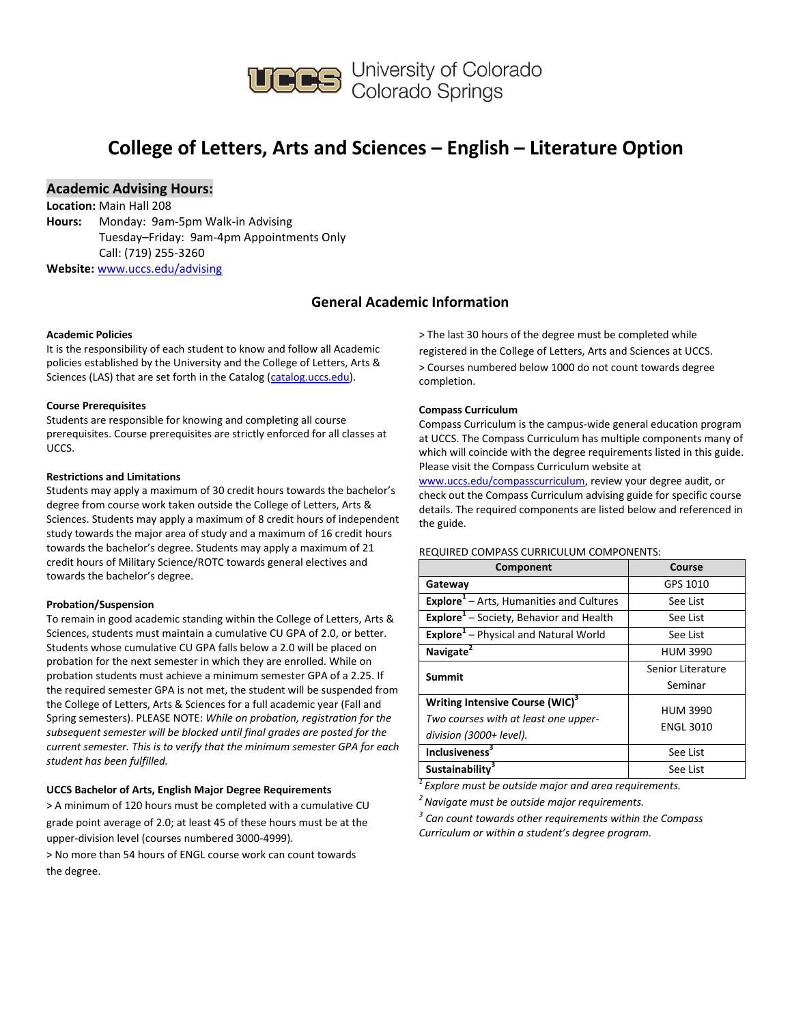

## **College of Letters, Arts and Sciences – English – Literature Option**

### **Academic Advising Hours:**

**Location:** Main Hall 208

**Hours:** Monday: 9am-5pm Walk-in Advising Tuesday–Friday: 9am-4pm Appointments Only Call: (719) 255-3260 **Website:** [www.uccs.edu/advising](http://www.uccs.edu/advising)

### **General Academic Information**

#### **Academic Policies**

It is the responsibility of each student to know and follow all Academic policies established by the University and the College of Letters, Arts & Sciences (LAS) that are set forth in the Catalog [\(catalog.uccs.edu\)](http://catalog.uccs.edu/).

#### **Course Prerequisites**

Students are responsible for knowing and completing all course prerequisites. Course prerequisites are strictly enforced for all classes at UCCS.

#### **Restrictions and Limitations**

Students may apply a maximum of 30 credit hours towards the bachelor's degree from course work taken outside the College of Letters, Arts & Sciences. Students may apply a maximum of 8 credit hours of independent study towards the major area of study and a maximum of 16 credit hours towards the bachelor's degree. Students may apply a maximum of 21 credit hours of Military Science/ROTC towards general electives and towards the bachelor's degree.

### **Probation/Suspension**

To remain in good academic standing within the College of Letters, Arts & Sciences, students must maintain a cumulative CU GPA of 2.0, or better. Students whose cumulative CU GPA falls below a 2.0 will be placed on probation for the next semester in which they are enrolled. While on probation students must achieve a minimum semester GPA of a 2.25. If the required semester GPA is not met, the student will be suspended from the College of Letters, Arts & Sciences for a full academic year (Fall and Spring semesters). PLEASE NOTE: *While on probation, registration for the subsequent semester will be blocked until final grades are posted for the current semester. This is to verify that the minimum semester GPA for each student has been fulfilled.*

### **UCCS Bachelor of Arts, English Major Degree Requirements**

> A minimum of 120 hours must be completed with a cumulative CU grade point average of 2.0; at least 45 of these hours must be at the upper-division level (courses numbered 3000-4999).

> No more than 54 hours of ENGL course work can count towards the degree.

> The last 30 hours of the degree must be completed while registered in the College of Letters, Arts and Sciences at UCCS. > Courses numbered below 1000 do not count towards degree completion.

#### **Compass Curriculum**

Compass Curriculum is the campus-wide general education program at UCCS. The Compass Curriculum has multiple components many of which will coincide with the degree requirements listed in this guide. Please visit the Compass Curriculum website at

[www.uccs.edu/compasscurriculum,](http://www.uccs.edu/compasscurriculum) review your degree audit, or check out the Compass Curriculum advising guide for specific course details. The required components are listed below and referenced in the guide.

REQUIRED COMPASS CURRICULUM COMPONENTS:

#### **Component Course** Gateway **GATEWAY** GPS 1010 **Explore**<sup>1</sup> – Arts, Humanities and Cultures See List **Explore**<sup>1</sup> – Society, Behavior and Health See List **Explore**<sup>1</sup> – Physical and Natural World **See List Navigate<sup>2</sup>** HUM 3990 **Summit** Senior Literature Seminar **Writing Intensive Course (WIC)<sup>3</sup>** *Two courses with at least one upperdivision (3000+ level).* HUM 3990 ENGL 3010 **Inclusiveness<sup>3</sup>** See List **Sustainability<sup>3</sup>** See List

*<sup>1</sup>Explore must be outside major and area requirements.*

*<sup>2</sup>Navigate must be outside major requirements.*

*3 Can count towards other requirements within the Compass Curriculum or within a student's degree program.*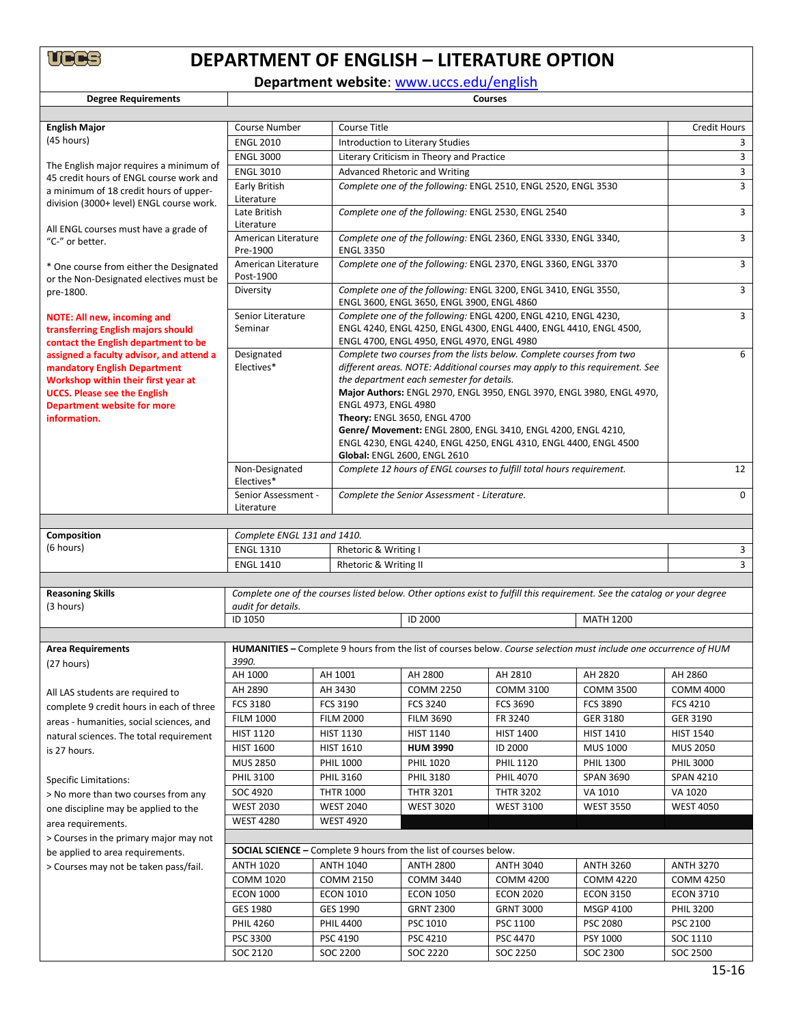# **DEPARTMENT OF ENGLISH – LITERATURE OPTION**

**Department website**: [www.uccs.edu/english](http://www.uccs.edu/english)

| <b>Degree Requirements</b>                                                         | <b>Courses</b>                                                                                                             |                                                                                                                                                                    |                                                                                     |                                      |                                                                       |                  |  |  |
|------------------------------------------------------------------------------------|----------------------------------------------------------------------------------------------------------------------------|--------------------------------------------------------------------------------------------------------------------------------------------------------------------|-------------------------------------------------------------------------------------|--------------------------------------|-----------------------------------------------------------------------|------------------|--|--|
|                                                                                    |                                                                                                                            |                                                                                                                                                                    |                                                                                     |                                      |                                                                       |                  |  |  |
| <b>English Major</b>                                                               | Course Number                                                                                                              | Course Title                                                                                                                                                       |                                                                                     |                                      |                                                                       |                  |  |  |
| (45 hours)                                                                         | <b>ENGL 2010</b>                                                                                                           |                                                                                                                                                                    | Introduction to Literary Studies                                                    |                                      |                                                                       | 3                |  |  |
|                                                                                    | <b>ENGL 3000</b>                                                                                                           |                                                                                                                                                                    | Literary Criticism in Theory and Practice                                           |                                      |                                                                       |                  |  |  |
| The English major requires a minimum of<br>45 credit hours of ENGL course work and | <b>ENGL 3010</b>                                                                                                           |                                                                                                                                                                    | Advanced Rhetoric and Writing                                                       |                                      |                                                                       |                  |  |  |
| a minimum of 18 credit hours of upper-                                             | Early British                                                                                                              |                                                                                                                                                                    | Complete one of the following: ENGL 2510, ENGL 2520, ENGL 3530                      |                                      |                                                                       |                  |  |  |
| division (3000+ level) ENGL course work.                                           | Literature                                                                                                                 |                                                                                                                                                                    | $\overline{3}$                                                                      |                                      |                                                                       |                  |  |  |
|                                                                                    | Late British                                                                                                               | Complete one of the following: ENGL 2530, ENGL 2540                                                                                                                |                                                                                     |                                      |                                                                       |                  |  |  |
| All ENGL courses must have a grade of                                              | Literature                                                                                                                 |                                                                                                                                                                    |                                                                                     |                                      |                                                                       |                  |  |  |
| "C-" or better.                                                                    | American Literature<br>Pre-1900                                                                                            |                                                                                                                                                                    | Complete one of the following: ENGL 2360, ENGL 3330, ENGL 3340,<br><b>ENGL 3350</b> |                                      |                                                                       | 3                |  |  |
|                                                                                    | American Literature                                                                                                        |                                                                                                                                                                    |                                                                                     | 3                                    |                                                                       |                  |  |  |
| * One course from either the Designated<br>or the Non-Designated electives must be | Post-1900                                                                                                                  |                                                                                                                                                                    | Complete one of the following: ENGL 2370, ENGL 3360, ENGL 3370                      |                                      |                                                                       |                  |  |  |
| pre-1800.                                                                          | Diversity                                                                                                                  |                                                                                                                                                                    | Complete one of the following: ENGL 3200, ENGL 3410, ENGL 3550,                     |                                      |                                                                       |                  |  |  |
|                                                                                    |                                                                                                                            | ENGL 3600, ENGL 3650, ENGL 3900, ENGL 4860                                                                                                                         |                                                                                     |                                      |                                                                       |                  |  |  |
| <b>NOTE: All new, incoming and</b>                                                 | Senior Literature                                                                                                          | Complete one of the following: ENGL 4200, ENGL 4210, ENGL 4230,                                                                                                    |                                                                                     |                                      |                                                                       | 3                |  |  |
| transferring English majors should                                                 | ENGL 4240, ENGL 4250, ENGL 4300, ENGL 4400, ENGL 4410, ENGL 4500,<br>Seminar                                               |                                                                                                                                                                    |                                                                                     |                                      |                                                                       |                  |  |  |
| contact the English department to be                                               |                                                                                                                            |                                                                                                                                                                    | ENGL 4700, ENGL 4950, ENGL 4970, ENGL 4980                                          |                                      |                                                                       | 6                |  |  |
| assigned a faculty advisor, and attend a                                           | Electives*                                                                                                                 | Complete two courses from the lists below. Complete courses from two<br>Designated<br>different areas. NOTE: Additional courses may apply to this requirement. See |                                                                                     |                                      |                                                                       |                  |  |  |
| mandatory English Department<br>Workshop within their first year at                |                                                                                                                            |                                                                                                                                                                    | the department each semester for details.                                           |                                      |                                                                       |                  |  |  |
| <b>UCCS. Please see the English</b>                                                |                                                                                                                            |                                                                                                                                                                    |                                                                                     |                                      | Major Authors: ENGL 2970, ENGL 3950, ENGL 3970, ENGL 3980, ENGL 4970, |                  |  |  |
| <b>Department website for more</b>                                                 |                                                                                                                            | ENGL 4973, ENGL 4980                                                                                                                                               |                                                                                     |                                      |                                                                       |                  |  |  |
| information.                                                                       |                                                                                                                            |                                                                                                                                                                    | Theory: ENGL 3650, ENGL 4700                                                        |                                      |                                                                       |                  |  |  |
|                                                                                    |                                                                                                                            |                                                                                                                                                                    | Genre/ Movement: ENGL 2800, ENGL 3410, ENGL 4200, ENGL 4210,                        |                                      |                                                                       |                  |  |  |
|                                                                                    |                                                                                                                            |                                                                                                                                                                    | ENGL 4230, ENGL 4240, ENGL 4250, ENGL 4310, ENGL 4400, ENGL 4500                    |                                      |                                                                       |                  |  |  |
|                                                                                    |                                                                                                                            |                                                                                                                                                                    | Global: ENGL 2600, ENGL 2610                                                        |                                      |                                                                       |                  |  |  |
|                                                                                    | Complete 12 hours of ENGL courses to fulfill total hours requirement.<br>Non-Designated<br>Electives*                      |                                                                                                                                                                    |                                                                                     |                                      | 12                                                                    |                  |  |  |
|                                                                                    | Complete the Senior Assessment - Literature.<br>Senior Assessment -                                                        |                                                                                                                                                                    |                                                                                     |                                      |                                                                       | 0                |  |  |
|                                                                                    | Literature                                                                                                                 |                                                                                                                                                                    |                                                                                     |                                      |                                                                       |                  |  |  |
|                                                                                    |                                                                                                                            |                                                                                                                                                                    |                                                                                     |                                      |                                                                       |                  |  |  |
| Composition                                                                        | Complete ENGL 131 and 1410.                                                                                                |                                                                                                                                                                    |                                                                                     |                                      |                                                                       |                  |  |  |
| (6 hours)                                                                          | <b>ENGL 1310</b>                                                                                                           | Rhetoric & Writing I                                                                                                                                               |                                                                                     |                                      |                                                                       |                  |  |  |
|                                                                                    | <b>ENGL 1410</b>                                                                                                           | Rhetoric & Writing II                                                                                                                                              |                                                                                     |                                      |                                                                       | 3                |  |  |
|                                                                                    |                                                                                                                            |                                                                                                                                                                    |                                                                                     |                                      |                                                                       |                  |  |  |
| <b>Reasoning Skills</b>                                                            | Complete one of the courses listed below. Other options exist to fulfill this requirement. See the catalog or your degree  |                                                                                                                                                                    |                                                                                     |                                      |                                                                       |                  |  |  |
| (3 hours)                                                                          | audit for details.                                                                                                         |                                                                                                                                                                    |                                                                                     |                                      |                                                                       |                  |  |  |
|                                                                                    | ID 1050                                                                                                                    |                                                                                                                                                                    | ID 2000<br><b>MATH 1200</b>                                                         |                                      |                                                                       |                  |  |  |
|                                                                                    |                                                                                                                            |                                                                                                                                                                    |                                                                                     |                                      |                                                                       |                  |  |  |
| <b>Area Requirements</b>                                                           | HUMANITIES - Complete 9 hours from the list of courses below. Course selection must include one occurrence of HUM<br>3990. |                                                                                                                                                                    |                                                                                     |                                      |                                                                       |                  |  |  |
| (27 hours)                                                                         | AH 1000                                                                                                                    | AH 1001                                                                                                                                                            | AH 2800                                                                             | AH 2810                              | AH 2820                                                               | AH 2860          |  |  |
|                                                                                    | AH 2890                                                                                                                    | AH 3430                                                                                                                                                            | <b>COMM 2250</b>                                                                    | <b>COMM 3100</b>                     | <b>COMM 3500</b>                                                      | <b>COMM 4000</b> |  |  |
| All LAS students are required to                                                   | <b>FCS 3180</b>                                                                                                            | FCS 3190                                                                                                                                                           | <b>FCS 3240</b>                                                                     | <b>FCS 3690</b>                      | <b>FCS 3890</b>                                                       | FCS 4210         |  |  |
| complete 9 credit hours in each of three                                           | <b>FILM 1000</b>                                                                                                           | <b>FILM 2000</b>                                                                                                                                                   | <b>FILM 3690</b>                                                                    | FR 3240                              | GER 3180                                                              | GER 3190         |  |  |
| areas - humanities, social sciences, and                                           | <b>HIST 1120</b>                                                                                                           | <b>HIST 1130</b>                                                                                                                                                   | <b>HIST 1140</b>                                                                    | <b>HIST 1400</b>                     | <b>HIST 1410</b>                                                      | <b>HIST 1540</b> |  |  |
| natural sciences. The total requirement                                            | <b>HIST 1600</b>                                                                                                           | <b>HIST 1610</b>                                                                                                                                                   | <b>HUM 3990</b>                                                                     | ID 2000                              | <b>MUS 1000</b>                                                       | <b>MUS 2050</b>  |  |  |
| is 27 hours.                                                                       | <b>MUS 2850</b>                                                                                                            | <b>PHIL 1000</b>                                                                                                                                                   | <b>PHIL 1020</b>                                                                    | <b>PHIL 1120</b>                     | <b>PHIL 1300</b>                                                      | <b>PHIL 3000</b> |  |  |
|                                                                                    | PHIL 3100                                                                                                                  | <b>PHIL 3160</b>                                                                                                                                                   | PHIL 3180                                                                           | <b>PHIL 4070</b>                     | <b>SPAN 3690</b>                                                      | <b>SPAN 4210</b> |  |  |
| <b>Specific Limitations:</b>                                                       | SOC 4920                                                                                                                   | <b>THTR 1000</b>                                                                                                                                                   | <b>THTR 3201</b>                                                                    | <b>THTR 3202</b>                     | VA 1010                                                               | VA 1020          |  |  |
| > No more than two courses from any                                                | <b>WEST 2030</b>                                                                                                           |                                                                                                                                                                    | <b>WEST 3020</b>                                                                    | <b>WEST 3100</b>                     | <b>WEST 3550</b>                                                      | <b>WEST 4050</b> |  |  |
| one discipline may be applied to the                                               |                                                                                                                            | <b>WEST 2040</b>                                                                                                                                                   |                                                                                     |                                      |                                                                       |                  |  |  |
| area requirements.                                                                 | <b>WEST 4280</b>                                                                                                           | <b>WEST 4920</b>                                                                                                                                                   |                                                                                     |                                      |                                                                       |                  |  |  |
| > Courses in the primary major may not                                             |                                                                                                                            |                                                                                                                                                                    |                                                                                     |                                      |                                                                       |                  |  |  |
| be applied to area requirements.                                                   | <b>SOCIAL SCIENCE</b> – Complete 9 hours from the list of courses below.                                                   |                                                                                                                                                                    |                                                                                     |                                      |                                                                       |                  |  |  |
| > Courses may not be taken pass/fail.                                              | <b>ANTH 1020</b>                                                                                                           | <b>ANTH 1040</b>                                                                                                                                                   | <b>ANTH 2800</b><br><b>ANTH 3040</b><br><b>ANTH 3260</b>                            |                                      |                                                                       | <b>ANTH 3270</b> |  |  |
|                                                                                    | <b>COMM 1020</b>                                                                                                           | <b>COMM 2150</b>                                                                                                                                                   | <b>COMM 3440</b>                                                                    | <b>COMM 4200</b><br><b>COMM 4220</b> |                                                                       | <b>COMM 4250</b> |  |  |
|                                                                                    | <b>ECON 1000</b>                                                                                                           | <b>ECON 1010</b>                                                                                                                                                   | <b>ECON 1050</b>                                                                    | <b>ECON 2020</b>                     | <b>ECON 3150</b>                                                      | <b>ECON 3710</b> |  |  |
|                                                                                    | GES 1980                                                                                                                   | GES 1990                                                                                                                                                           | <b>GRNT 2300</b>                                                                    | <b>GRNT 3000</b>                     | MSGP 4100                                                             | <b>PHIL 3200</b> |  |  |
|                                                                                    | <b>PHIL 4260</b>                                                                                                           | <b>PHIL 4400</b>                                                                                                                                                   | PSC 1010                                                                            | PSC 1100                             | <b>PSC 2080</b><br>PSY 1000                                           | PSC 2100         |  |  |
|                                                                                    | PSC 3300                                                                                                                   | PSC 4190                                                                                                                                                           | PSC 4210                                                                            | PSC 4470                             |                                                                       | SOC 1110         |  |  |
|                                                                                    | SOC 2120                                                                                                                   | SOC 2200                                                                                                                                                           | SOC 2220                                                                            | SOC 2250                             | SOC 2300                                                              | SOC 2500         |  |  |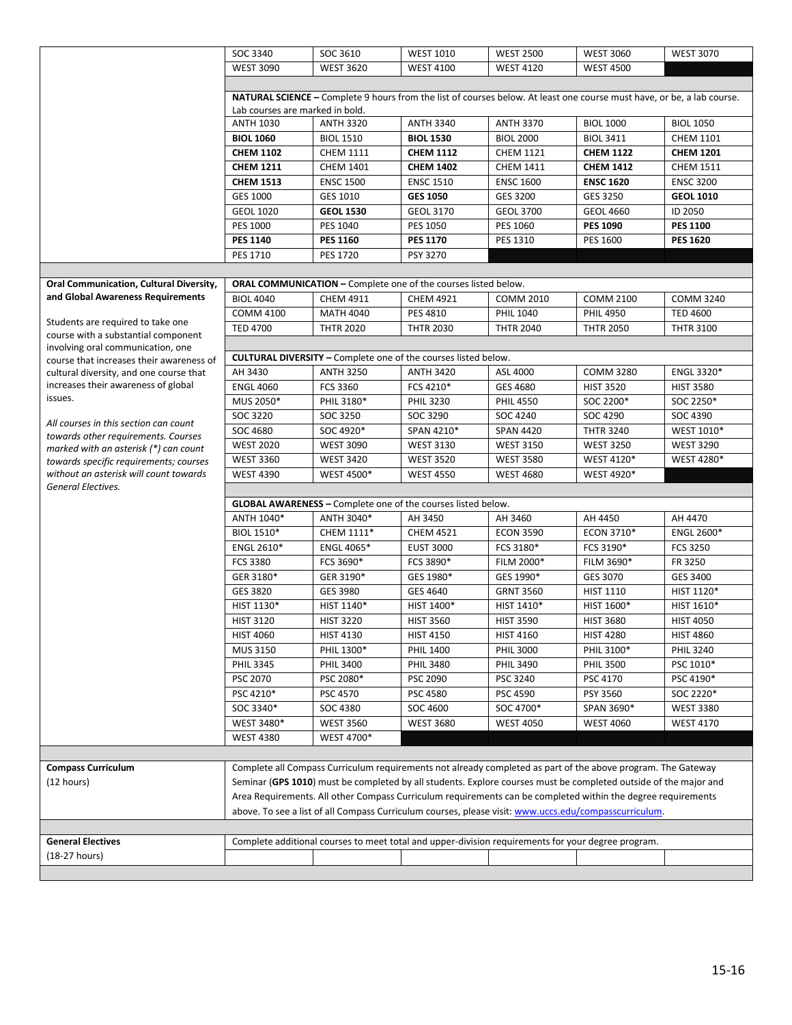|                                                                                                    | SOC 3340                                                                                                                                                                                                                                                                                                                                  | SOC 3610                                                              | <b>WEST 1010</b> | <b>WEST 2500</b>                                                                                             | <b>WEST 3060</b> | <b>WEST 3070</b>  |  |  |  |
|----------------------------------------------------------------------------------------------------|-------------------------------------------------------------------------------------------------------------------------------------------------------------------------------------------------------------------------------------------------------------------------------------------------------------------------------------------|-----------------------------------------------------------------------|------------------|--------------------------------------------------------------------------------------------------------------|------------------|-------------------|--|--|--|
|                                                                                                    | <b>WEST 3090</b>                                                                                                                                                                                                                                                                                                                          | <b>WEST 3620</b>                                                      | <b>WEST 4100</b> | <b>WEST 4120</b>                                                                                             | <b>WEST 4500</b> |                   |  |  |  |
|                                                                                                    |                                                                                                                                                                                                                                                                                                                                           |                                                                       |                  |                                                                                                              |                  |                   |  |  |  |
|                                                                                                    | NATURAL SCIENCE - Complete 9 hours from the list of courses below. At least one course must have, or be, a lab course.                                                                                                                                                                                                                    |                                                                       |                  |                                                                                                              |                  |                   |  |  |  |
|                                                                                                    | Lab courses are marked in bold.                                                                                                                                                                                                                                                                                                           |                                                                       |                  |                                                                                                              |                  |                   |  |  |  |
|                                                                                                    | <b>ANTH 1030</b>                                                                                                                                                                                                                                                                                                                          | <b>ANTH 3320</b>                                                      | <b>ANTH 3340</b> | <b>ANTH 3370</b>                                                                                             | <b>BIOL 1000</b> | <b>BIOL 1050</b>  |  |  |  |
|                                                                                                    | <b>BIOL 1060</b>                                                                                                                                                                                                                                                                                                                          | <b>BIOL 1510</b>                                                      | <b>BIOL 1530</b> | <b>BIOL 2000</b>                                                                                             | <b>BIOL 3411</b> | <b>CHEM 1101</b>  |  |  |  |
|                                                                                                    | <b>CHEM 1102</b>                                                                                                                                                                                                                                                                                                                          | <b>CHEM 1111</b>                                                      | <b>CHEM 1112</b> | <b>CHEM 1121</b>                                                                                             | <b>CHEM 1122</b> | <b>CHEM 1201</b>  |  |  |  |
|                                                                                                    | <b>CHEM 1211</b>                                                                                                                                                                                                                                                                                                                          | <b>CHEM 1401</b>                                                      | <b>CHEM 1402</b> | <b>CHEM 1411</b>                                                                                             | <b>CHEM 1412</b> | <b>CHEM 1511</b>  |  |  |  |
|                                                                                                    | <b>CHEM 1513</b>                                                                                                                                                                                                                                                                                                                          | <b>ENSC 1500</b>                                                      | <b>ENSC 1510</b> | <b>ENSC 1600</b>                                                                                             | <b>ENSC 1620</b> | <b>ENSC 3200</b>  |  |  |  |
|                                                                                                    | <b>GES 1000</b>                                                                                                                                                                                                                                                                                                                           | GES 1010                                                              | <b>GES 1050</b>  | GES 3200                                                                                                     | GES 3250         | <b>GEOL 1010</b>  |  |  |  |
|                                                                                                    | <b>GEOL 1020</b>                                                                                                                                                                                                                                                                                                                          | <b>GEOL 1530</b>                                                      | <b>GEOL 3170</b> | <b>GEOL 3700</b>                                                                                             | <b>GEOL 4660</b> | ID 2050           |  |  |  |
|                                                                                                    | PES 1000                                                                                                                                                                                                                                                                                                                                  | PES 1040                                                              | PES 1050         | PES 1060                                                                                                     | <b>PES 1090</b>  | <b>PES 1100</b>   |  |  |  |
|                                                                                                    | <b>PES 1140</b>                                                                                                                                                                                                                                                                                                                           | <b>PES 1160</b>                                                       | <b>PES 1170</b>  | PES 1310                                                                                                     | PES 1600         | <b>PES 1620</b>   |  |  |  |
|                                                                                                    | PES 1710                                                                                                                                                                                                                                                                                                                                  | <b>PES 1720</b>                                                       | PSY 3270         |                                                                                                              |                  |                   |  |  |  |
|                                                                                                    |                                                                                                                                                                                                                                                                                                                                           |                                                                       |                  |                                                                                                              |                  |                   |  |  |  |
| Oral Communication, Cultural Diversity,                                                            |                                                                                                                                                                                                                                                                                                                                           | ORAL COMMUNICATION - Complete one of the courses listed below.        |                  |                                                                                                              |                  |                   |  |  |  |
| and Global Awareness Requirements                                                                  | <b>BIOL 4040</b>                                                                                                                                                                                                                                                                                                                          | <b>CHEM 4911</b>                                                      | <b>CHEM 4921</b> | <b>COMM 2010</b>                                                                                             | <b>COMM 2100</b> | <b>COMM 3240</b>  |  |  |  |
| Students are required to take one                                                                  | <b>COMM 4100</b>                                                                                                                                                                                                                                                                                                                          | <b>MATH 4040</b>                                                      | PES 4810         | PHIL 1040                                                                                                    | <b>PHIL 4950</b> | <b>TED 4600</b>   |  |  |  |
| course with a substantial component                                                                | <b>TED 4700</b>                                                                                                                                                                                                                                                                                                                           | <b>THTR 2020</b>                                                      | <b>THTR 2030</b> | <b>THTR 2040</b>                                                                                             | <b>THTR 2050</b> | <b>THTR 3100</b>  |  |  |  |
| involving oral communication, one                                                                  |                                                                                                                                                                                                                                                                                                                                           |                                                                       |                  |                                                                                                              |                  |                   |  |  |  |
| course that increases their awareness of                                                           |                                                                                                                                                                                                                                                                                                                                           | <b>CULTURAL DIVERSITY - Complete one of the courses listed below.</b> |                  |                                                                                                              |                  |                   |  |  |  |
| cultural diversity, and one course that                                                            | AH 3430                                                                                                                                                                                                                                                                                                                                   | <b>ANTH 3250</b>                                                      | <b>ANTH 3420</b> | ASL 4000                                                                                                     | <b>COMM 3280</b> | <b>ENGL 3320*</b> |  |  |  |
| increases their awareness of global                                                                | <b>ENGL 4060</b>                                                                                                                                                                                                                                                                                                                          | FCS 3360                                                              | FCS 4210*        | GES 4680                                                                                                     | <b>HIST 3520</b> | <b>HIST 3580</b>  |  |  |  |
| issues.                                                                                            | MUS 2050*                                                                                                                                                                                                                                                                                                                                 | PHIL 3180*                                                            | PHIL 3230        | <b>PHIL 4550</b>                                                                                             | SOC 2200*        | SOC 2250*         |  |  |  |
| All courses in this section can count                                                              | SOC 3220                                                                                                                                                                                                                                                                                                                                  | SOC 3250                                                              | SOC 3290         | SOC 4240                                                                                                     | SOC 4290         | SOC 4390          |  |  |  |
| towards other requirements. Courses                                                                | SOC 4680                                                                                                                                                                                                                                                                                                                                  | SOC 4920*                                                             | SPAN 4210*       | <b>SPAN 4420</b>                                                                                             | <b>THTR 3240</b> | WEST 1010*        |  |  |  |
| marked with an asterisk (*) can count                                                              | <b>WEST 2020</b>                                                                                                                                                                                                                                                                                                                          | <b>WEST 3090</b>                                                      | <b>WEST 3130</b> | <b>WEST 3150</b>                                                                                             | <b>WEST 3250</b> | <b>WEST 3290</b>  |  |  |  |
| towards specific requirements; courses                                                             | <b>WEST 3360</b>                                                                                                                                                                                                                                                                                                                          | <b>WEST 3420</b>                                                      | <b>WEST 3520</b> | <b>WEST 3580</b>                                                                                             | WEST 4120*       | WEST 4280*        |  |  |  |
| without an asterisk will count towards                                                             | <b>WEST 4390</b>                                                                                                                                                                                                                                                                                                                          | WEST 4500*                                                            | <b>WEST 4550</b> | <b>WEST 4680</b>                                                                                             | WEST 4920*       |                   |  |  |  |
| General Electives.                                                                                 | <b>GLOBAL AWARENESS - Complete one of the courses listed below.</b>                                                                                                                                                                                                                                                                       |                                                                       |                  |                                                                                                              |                  |                   |  |  |  |
|                                                                                                    |                                                                                                                                                                                                                                                                                                                                           |                                                                       |                  |                                                                                                              |                  |                   |  |  |  |
|                                                                                                    | ANTH 1040*                                                                                                                                                                                                                                                                                                                                | ANTH 3040*                                                            | AH 3450          | AH 3460                                                                                                      | AH 4450          | AH 4470           |  |  |  |
|                                                                                                    | <b>BIOL 1510*</b>                                                                                                                                                                                                                                                                                                                         | CHEM 1111*                                                            | <b>CHEM 4521</b> | <b>ECON 3590</b>                                                                                             | ECON 3710*       | <b>ENGL 2600*</b> |  |  |  |
|                                                                                                    | <b>ENGL 2610*</b>                                                                                                                                                                                                                                                                                                                         | ENGL 4065*                                                            | <b>EUST 3000</b> | FCS 3180*                                                                                                    | FCS 3190*        | <b>FCS 3250</b>   |  |  |  |
|                                                                                                    | <b>FCS 3380</b>                                                                                                                                                                                                                                                                                                                           | FCS 3690*                                                             | FCS 3890*        | FILM 2000*                                                                                                   | FILM 3690*       | FR 3250           |  |  |  |
|                                                                                                    | GER 3180*                                                                                                                                                                                                                                                                                                                                 | GER 3190*                                                             | GES 1980*        | GES 1990*                                                                                                    | GES 3070         | GES 3400          |  |  |  |
|                                                                                                    | GES 3820                                                                                                                                                                                                                                                                                                                                  | GES 3980                                                              | GES 4640         | <b>GRNT 3560</b>                                                                                             | <b>HIST 1110</b> | HIST 1120*        |  |  |  |
|                                                                                                    | HIST 1130*                                                                                                                                                                                                                                                                                                                                | HIST 1140*                                                            | HIST 1400*       | HIST 1410*                                                                                                   | HIST 1600*       | HIST 1610*        |  |  |  |
|                                                                                                    | <b>HIST 3120</b>                                                                                                                                                                                                                                                                                                                          | <b>HIST 3220</b>                                                      | <b>HIST 3560</b> | <b>HIST 3590</b>                                                                                             | <b>HIST 3680</b> | <b>HIST 4050</b>  |  |  |  |
|                                                                                                    | <b>HIST 4060</b>                                                                                                                                                                                                                                                                                                                          | <b>HIST 4130</b>                                                      | <b>HIST 4150</b> | <b>HIST 4160</b>                                                                                             | <b>HIST 4280</b> | <b>HIST 4860</b>  |  |  |  |
|                                                                                                    | MUS 3150                                                                                                                                                                                                                                                                                                                                  | PHIL 1300*                                                            | <b>PHIL 1400</b> | <b>PHIL 3000</b><br><b>PHIL 3490</b>                                                                         | PHIL 3100*       | <b>PHIL 3240</b>  |  |  |  |
|                                                                                                    | <b>PHIL 3345</b>                                                                                                                                                                                                                                                                                                                          | <b>PHIL 3400</b>                                                      | <b>PHIL 3480</b> |                                                                                                              | <b>PHIL 3500</b> | PSC 1010*         |  |  |  |
|                                                                                                    | PSC 2070                                                                                                                                                                                                                                                                                                                                  | PSC 2080*                                                             | PSC 2090         | PSC 3240                                                                                                     | PSC 4170         | PSC 4190*         |  |  |  |
|                                                                                                    | PSC 4210*                                                                                                                                                                                                                                                                                                                                 | PSC 4570                                                              | PSC 4580         | PSC 4590                                                                                                     | PSY 3560         | SOC 2220*         |  |  |  |
|                                                                                                    | SOC 3340*                                                                                                                                                                                                                                                                                                                                 | SOC 4380                                                              | SOC 4600         | SOC 4700*                                                                                                    | SPAN 3690*       | <b>WEST 3380</b>  |  |  |  |
|                                                                                                    | WEST 3480*                                                                                                                                                                                                                                                                                                                                | <b>WEST 3560</b>                                                      | <b>WEST 3680</b> | <b>WEST 4050</b>                                                                                             | <b>WEST 4060</b> | <b>WEST 4170</b>  |  |  |  |
|                                                                                                    | <b>WEST 4380</b>                                                                                                                                                                                                                                                                                                                          | WEST 4700*                                                            |                  |                                                                                                              |                  |                   |  |  |  |
| <b>Compass Curriculum</b>                                                                          |                                                                                                                                                                                                                                                                                                                                           |                                                                       |                  | Complete all Compass Curriculum requirements not already completed as part of the above program. The Gateway |                  |                   |  |  |  |
|                                                                                                    |                                                                                                                                                                                                                                                                                                                                           |                                                                       |                  |                                                                                                              |                  |                   |  |  |  |
| (12 hours)                                                                                         | Seminar (GPS 1010) must be completed by all students. Explore courses must be completed outside of the major and<br>Area Requirements. All other Compass Curriculum requirements can be completed within the degree requirements<br>above. To see a list of all Compass Curriculum courses, please visit: www.uccs.edu/compasscurriculum. |                                                                       |                  |                                                                                                              |                  |                   |  |  |  |
|                                                                                                    |                                                                                                                                                                                                                                                                                                                                           |                                                                       |                  |                                                                                                              |                  |                   |  |  |  |
|                                                                                                    |                                                                                                                                                                                                                                                                                                                                           |                                                                       |                  |                                                                                                              |                  |                   |  |  |  |
| Complete additional courses to meet total and upper-division requirements for your degree program. |                                                                                                                                                                                                                                                                                                                                           |                                                                       |                  |                                                                                                              |                  |                   |  |  |  |
| <b>General Electives</b>                                                                           |                                                                                                                                                                                                                                                                                                                                           |                                                                       |                  |                                                                                                              |                  |                   |  |  |  |
| (18-27 hours)                                                                                      |                                                                                                                                                                                                                                                                                                                                           |                                                                       |                  |                                                                                                              |                  |                   |  |  |  |
|                                                                                                    |                                                                                                                                                                                                                                                                                                                                           |                                                                       |                  |                                                                                                              |                  |                   |  |  |  |